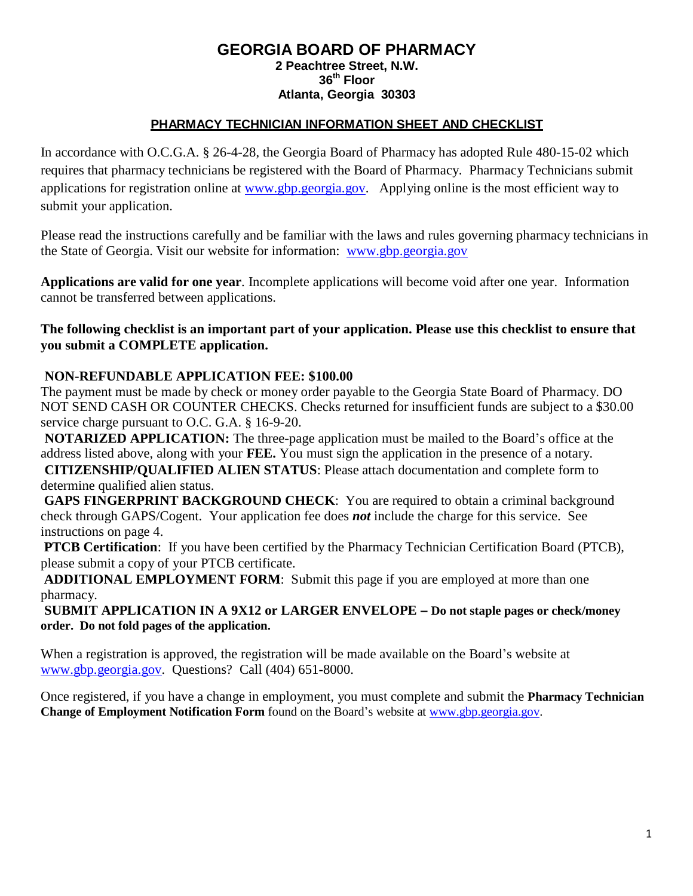### **GEORGIA BOARD OF PHARMACY 2 Peachtree Street, N.W. 36th Floor Atlanta, Georgia 30303**

## **PHARMACY TECHNICIAN INFORMATION SHEET AND CHECKLIST**

In accordance with O.C.G.A. § 26-4-28, the Georgia Board of Pharmacy has adopted Rule 480-15-02 which requires that pharmacy technicians be registered with the Board of Pharmacy. Pharmacy Technicians submit applications for registration online at [www.gbp.georgia.gov.](http://www.gbp.georgia.gov/) Applying online is the most efficient way to submit your application.

Please read the instructions carefully and be familiar with the laws and rules governing pharmacy technicians in the State of Georgia. Visit our website for information: [www.gbp.georgia.gov](http://www.gbp.georgia.gov/)

**Applications are valid for one year**. Incomplete applications will become void after one year. Information cannot be transferred between applications.

### **The following checklist is an important part of your application. Please use this checklist to ensure that you submit a COMPLETE application.**

## **NON-REFUNDABLE APPLICATION FEE: \$100.00**

The payment must be made by check or money order payable to the Georgia State Board of Pharmacy. DO NOT SEND CASH OR COUNTER CHECKS. Checks returned for insufficient funds are subject to a \$30.00 service charge pursuant to O.C. G.A. § 16-9-20.

**NOTARIZED APPLICATION:** The three-page application must be mailed to the Board's office at the address listed above, along with your **FEE.** You must sign the application in the presence of a notary. **CITIZENSHIP/QUALIFIED ALIEN STATUS**: Please attach documentation and complete form to determine qualified alien status.

**GAPS FINGERPRINT BACKGROUND CHECK:** You are required to obtain a criminal background check through GAPS/Cogent. Your application fee does *not* include the charge for this service. See instructions on page 4.

**PTCB Certification**: If you have been certified by the Pharmacy Technician Certification Board (PTCB), please submit a copy of your PTCB certificate.

**ADDITIONAL EMPLOYMENT FORM**: Submit this page if you are employed at more than one pharmacy.

**SUBMIT APPLICATION IN A 9X12 or LARGER ENVELOPE – Do not staple pages or check/money order. Do not fold pages of the application.**

When a registration is approved, the registration will be made available on the Board's website at [www.gbp.georgia.gov. Q](http://www.gbp.georgia.gov/)uestions? Call (404) 651-8000.

Once registered, if you have a change in employment, you must complete and submit the **Pharmacy Technician Change of Employment Notification Form** found on the Board's website at [www.gbp.georgia.gov.](http://www.gbp.georgia.gov/)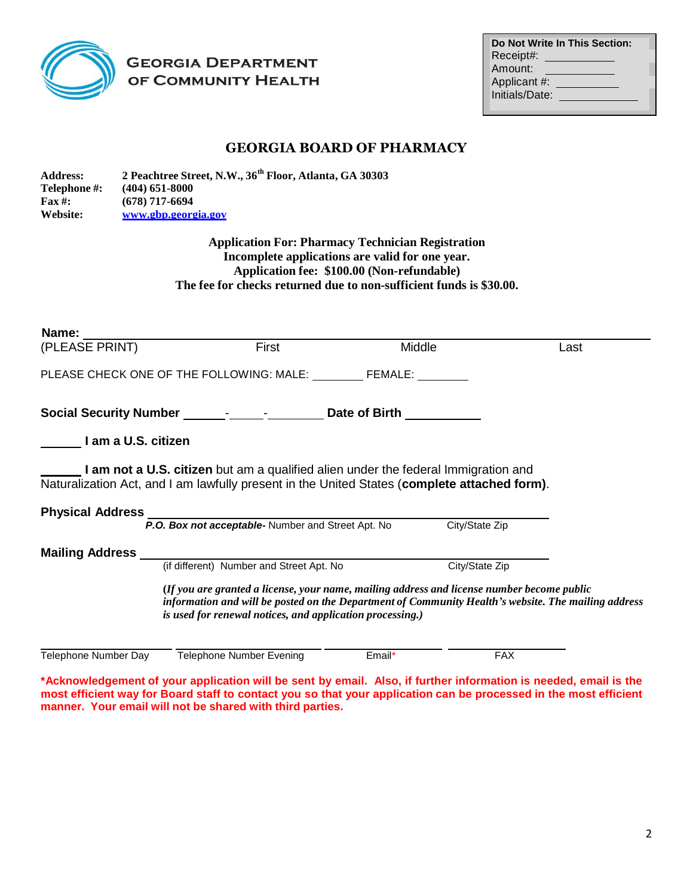

## **GEORGIA DEPARTMENT** OF COMMUNITY HEALTH

|                | <b>Do Not Write In This Section:</b> |
|----------------|--------------------------------------|
| Receipt#:      |                                      |
| Amount:        |                                      |
| Applicant #:   |                                      |
| Initials/Date: |                                      |
|                |                                      |

## **GEORGIA BOARD OF PHARMACY**

**Address: 2 Peachtree Street, N.W., 36 th Floor, Atlanta, GA 30303 Telephone #: (404) 651-8000 Fax #: (678) 717-6694 Website: [www.gbp.georgia.gov](http://www.gbp.georgia.gov/)**

> **Application For: Pharmacy Technician Registration Incomplete applications are valid for one year. Application fee: \$100.00 (Non-refundable) The fee for checks returned due to non-sufficient funds is \$30.00.**

| Name: Name                                                                                                                                                                                                                                                     |                                                                                  |       |        |                |      |  |  |
|----------------------------------------------------------------------------------------------------------------------------------------------------------------------------------------------------------------------------------------------------------------|----------------------------------------------------------------------------------|-------|--------|----------------|------|--|--|
| (PLEASE PRINT)                                                                                                                                                                                                                                                 |                                                                                  | First | Middle |                | Last |  |  |
|                                                                                                                                                                                                                                                                | PLEASE CHECK ONE OF THE FOLLOWING: MALE: FEMALE:                                 |       |        |                |      |  |  |
|                                                                                                                                                                                                                                                                | Social Security Number ________________________________Date of Birth ___________ |       |        |                |      |  |  |
| I am a U.S. citizen                                                                                                                                                                                                                                            |                                                                                  |       |        |                |      |  |  |
| <b>Let am not a U.S. citizen</b> but am a qualified alien under the federal Immigration and<br>Naturalization Act, and I am lawfully present in the United States (complete attached form).                                                                    |                                                                                  |       |        |                |      |  |  |
|                                                                                                                                                                                                                                                                | Physical Address<br>P.O. Box not acceptable-Number and Street Apt. No            |       |        | City/State Zip |      |  |  |
|                                                                                                                                                                                                                                                                |                                                                                  |       |        |                |      |  |  |
|                                                                                                                                                                                                                                                                | (if different) Number and Street Apt. No                                         |       |        | City/State Zip |      |  |  |
| (If you are granted a license, your name, mailing address and license number become public<br>information and will be posted on the Department of Community Health's website. The mailing address<br>is used for renewal notices, and application processing.) |                                                                                  |       |        |                |      |  |  |
| Telephone Number Day                                                                                                                                                                                                                                           | <b>Telephone Number Evening</b>                                                  |       | Email* | <b>FAX</b>     |      |  |  |

\*Acknowledgement of your application will be sent by email. Also, if further information is needed, email is the most efficient way for Board staff to contact you so that your application can be processed in the most efficient **manner. Your email will not be shared with third parties.**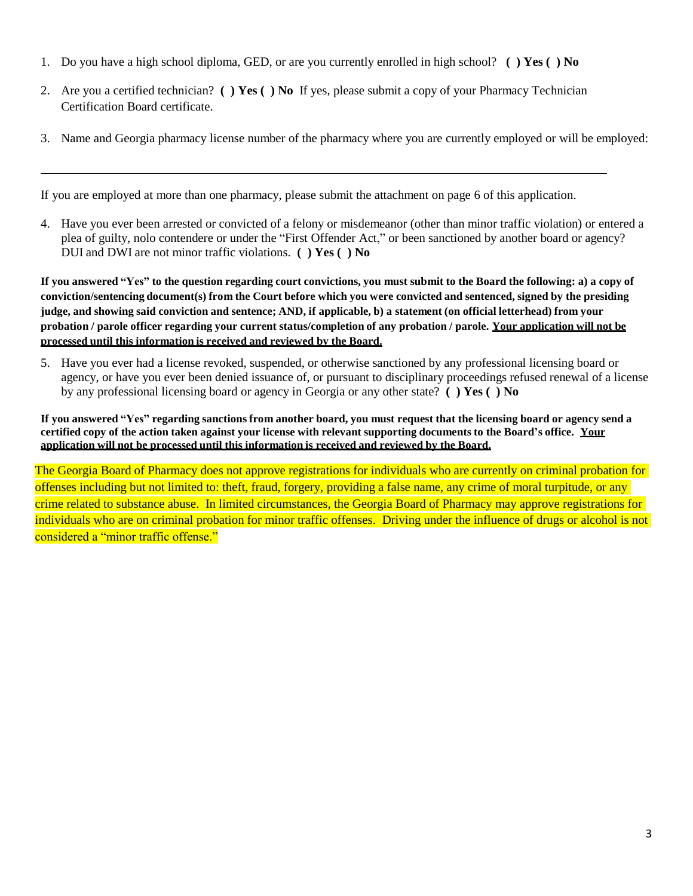- 1. Do you have a high school diploma, GED, or are you currently enrolled in high school? **( ) Yes ( ) No**
- 2. Are you a certified technician? **( ) Yes ( ) No** If yes, please submit a copy of your Pharmacy Technician Certification Board certificate.
- 3. Name and Georgia pharmacy license number of the pharmacy where you are currently employed or will be employed:

If you are employed at more than one pharmacy, please submit the attachment on page 6 of this application.

4. Have you ever been arrested or convicted of a felony or misdemeanor (other than minor traffic violation) or entered a plea of guilty, nolo contendere or under the "First Offender Act," or been sanctioned by another board or agency? DUI and DWI are not minor traffic violations. **( ) Yes ( ) No**

If you answered "Yes" to the question regarding court convictions, you must submit to the Board the following: a) a copy of conviction/sentencing document(s) from the Court before which you were convicted and sentenced, signed by the presiding judge, and showing said conviction and sentence; AND, if applicable, b) a statement (on official letterhead) from your probation / parole officer regarding your current status/completion of any probation / parole. Your application will not be **processed until this information is received and reviewed by the Board.**

5. Have you ever had a license revoked, suspended, or otherwise sanctioned by any professional licensing board or agency, or have you ever been denied issuance of, or pursuant to disciplinary proceedings refused renewal of a license by any professional licensing board or agency in Georgia or any other state? **( ) Yes ( ) No**

If you answered "Yes" regarding sanctions from another board, you must request that the licensing board or agency send a certified copy of the action taken against your license with relevant supporting documents to the Board's office. Your **application will not be processed until this information is received and reviewed by the Board.**

The Georgia Board of Pharmacy does not approve registrations for individuals who are currently on criminal probation for offenses including but not limited to: theft, fraud, forgery, providing a false name, any crime of moral turpitude, or any crime related to substance abuse. In limited circumstances, the Georgia Board of Pharmacy may approve registrations for individuals who are on criminal probation for minor traffic offenses. Driving under the influence of drugs or alcohol is not considered a "minor traffic offense."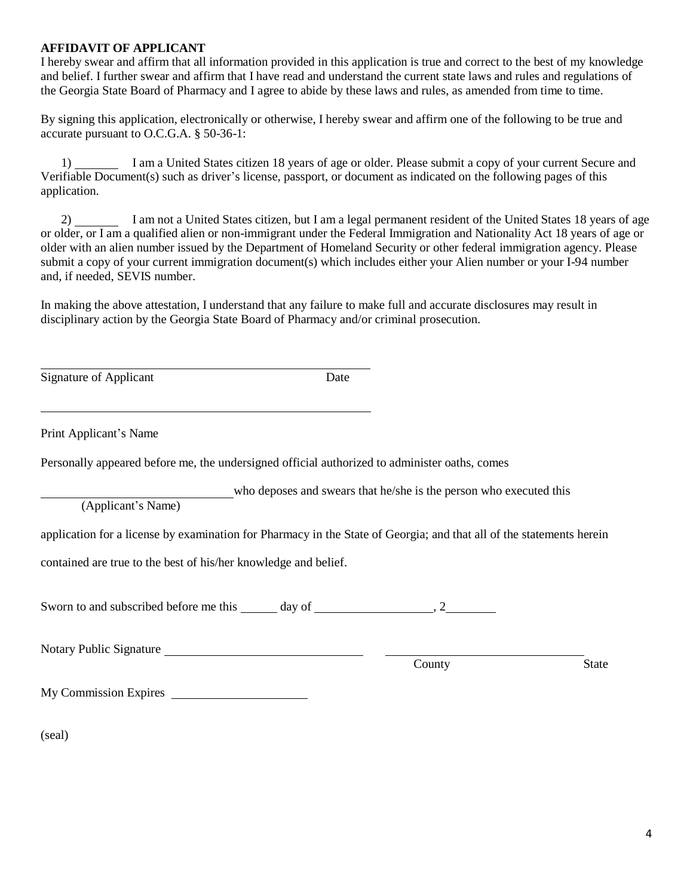#### **AFFIDAVIT OF APPLICANT**

I hereby swear and affirm that all information provided in this application is true and correct to the best of my knowledge and belief. I further swear and affirm that I have read and understand the current state laws and rules and regulations of the Georgia State Board of Pharmacy and I agree to abide by these laws and rules, as amended from time to time.

By signing this application, electronically or otherwise, I hereby swear and affirm one of the following to be true and accurate pursuant to O.C.G.A. § 50-36-1:

1) I am a United States citizen 18 years of age or older. Please submit a copy of your current Secure and Verifiable Document(s) such as driver's license, passport, or document as indicated on the following pages of this application.

2) I am not a United States citizen, but I am a legal permanent resident of the United States 18 years of age or older, or I am a qualified alien or non-immigrant under the Federal Immigration and Nationality Act 18 years of age or older with an alien number issued by the Department of Homeland Security or other federal immigration agency. Please submit a copy of your current immigration document(s) which includes either your Alien number or your I-94 number and, if needed, SEVIS number.

In making the above attestation, I understand that any failure to make full and accurate disclosures may result in disciplinary action by the Georgia State Board of Pharmacy and/or criminal prosecution.

Signature of Applicant Date

Print Applicant's Name

Personally appeared before me, the undersigned official authorized to administer oaths, comes

who deposes and swears that he/she is the person who executed this

(Applicant's Name)

application for a license by examination for Pharmacy in the State of Georgia; and that all of the statements herein

contained are true to the best of his/her knowledge and belief.

Sworn to and subscribed before me this  $\frac{1}{2}$  day of  $\frac{1}{2}$ , 2

Notary Public Signature

County State

My Commission Expires

(seal)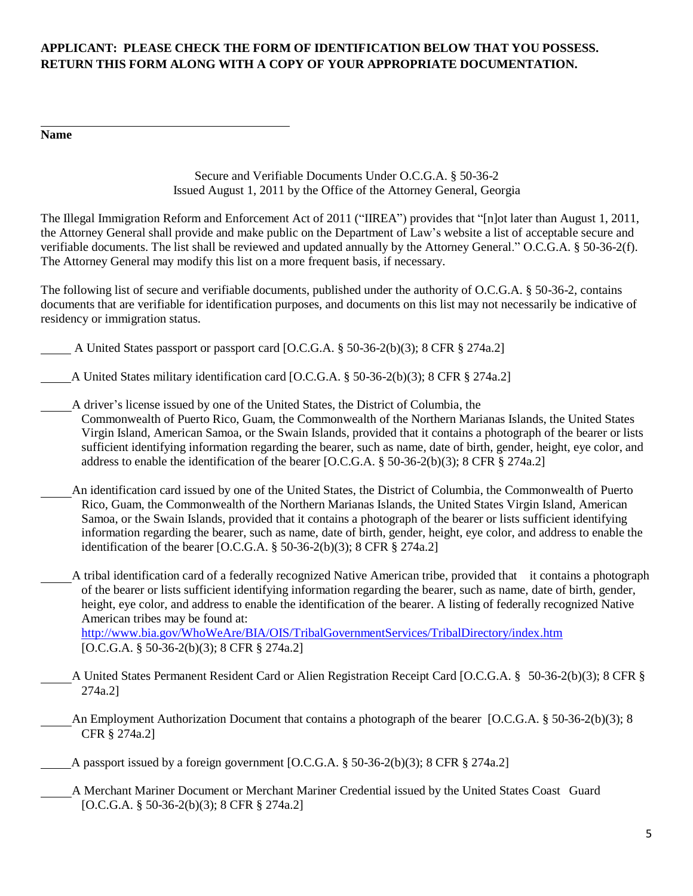## **APPLICANT: PLEASE CHECK THE FORM OF IDENTIFICATION BELOW THAT YOU POSSESS. RETURN THIS FORM ALONG WITH A COPY OF YOUR APPROPRIATE DOCUMENTATION.**

#### **Name**

Secure and Verifiable Documents Under O.C.G.A. § 50-36-2 Issued August 1, 2011 by the Office of the Attorney General, Georgia

The Illegal Immigration Reform and Enforcement Act of 2011 ("IIREA") provides that "[n]ot later than August 1, 2011, the Attorney General shall provide and make public on the Department of Law's website a list of acceptable secure and verifiable documents. The list shall be reviewed and updated annually by the Attorney General." O.C.G.A. § 50-36-2(f). The Attorney General may modify this list on a more frequent basis, if necessary.

The following list of secure and verifiable documents, published under the authority of O.C.G.A. § 50-36-2, contains documents that are verifiable for identification purposes, and documents on this list may not necessarily be indicative of residency or immigration status.

- A United States passport or passport card [O.C.G.A. § 50-36-2(b)(3); 8 CFR § 274a.2]
- A United States military identification card [O.C.G.A. § 50-36-2(b)(3); 8 CFR § 274a.2]

A driver's license issued by one of the United States, the District of Columbia, the Commonwealth of Puerto Rico, Guam, the Commonwealth of the Northern Marianas Islands, the United States Virgin Island, American Samoa, or the Swain Islands, provided that it contains a photograph of the bearer or lists sufficient identifying information regarding the bearer, such as name, date of birth, gender, height, eye color, and address to enable the identification of the bearer [O.C.G.A. § 50-36-2(b)(3); 8 CFR § 274a.2]

- An identification card issued by one of the United States, the District of Columbia, the Commonwealth of Puerto Rico, Guam, the Commonwealth of the Northern Marianas Islands, the United States Virgin Island, American Samoa, or the Swain Islands, provided that it contains a photograph of the bearer or lists sufficient identifying information regarding the bearer, such as name, date of birth, gender, height, eye color, and address to enable the identification of the bearer [O.C.G.A. § 50-36-2(b)(3); 8 CFR § 274a.2]
	- A tribal identification card of a federally recognized Native American tribe, provided that it contains a photograph of the bearer or lists sufficient identifying information regarding the bearer, such as name, date of birth, gender, height, eye color, and address to enable the identification of the bearer. A listing of federally recognized Native American tribes may be found at:

<http://www.bia.gov/WhoWeAre/BIA/OIS/TribalGovernmentServices/TribalDirectory/index.htm> [O.C.G.A. § 50-36-2(b)(3); 8 CFR § 274a.2]

- A United States Permanent Resident Card or Alien Registration Receipt Card [O.C.G.A. § 50-36-2(b)(3); 8 CFR § 274a.2]
- An Employment Authorization Document that contains a photograph of the bearer [O.C.G.A. § 50-36-2(b)(3); 8 CFR § 274a.2]
- A passport issued by a foreign government [O.C.G.A. § 50-36-2(b)(3); 8 CFR § 274a.2]
	- A Merchant Mariner Document or Merchant Mariner Credential issued by the United States Coast Guard [O.C.G.A. § 50-36-2(b)(3); 8 CFR § 274a.2]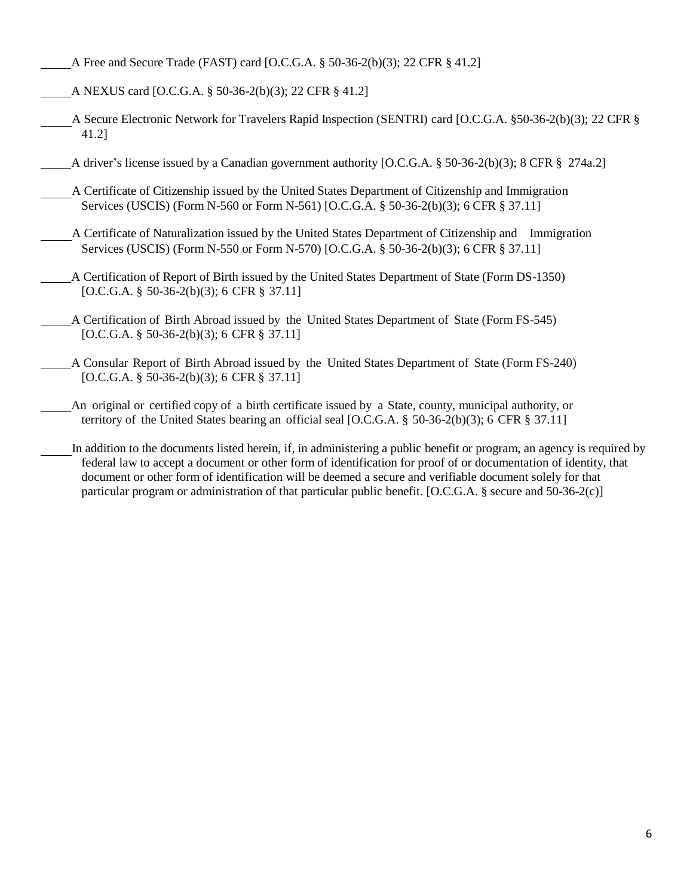- A Free and Secure Trade (FAST) card [O.C.G.A. § 50-36-2(b)(3); 22 CFR § 41.2]
- A NEXUS card [O.C.G.A. § 50-36-2(b)(3); 22 CFR § 41.2]
- A Secure Electronic Network for Travelers Rapid Inspection (SENTRI) card [O.C.G.A. §50-36-2(b)(3); 22 CFR § 41.2]
	- A driver's license issued by a Canadian government authority [O.C.G.A. § 50-36-2(b)(3); 8 CFR § 274a.2]
	- A Certificate of Citizenship issued by the United States Department of Citizenship and Immigration Services (USCIS) (Form N-560 or Form N-561) [O.C.G.A. § 50-36-2(b)(3); 6 CFR § 37.11]
- A Certificate of Naturalization issued by the United States Department of Citizenship and Immigration Services (USCIS) (Form N-550 or Form N-570) [O.C.G.A. § 50-36-2(b)(3); 6 CFR § 37.11]
- A Certification of Report of Birth issued by the United States Department of State (Form DS-1350) [O.C.G.A. § 50-36-2(b)(3); 6 CFR § 37.11]
- A Certification of Birth Abroad issued by the United States Department of State (Form FS-545) [O.C.G.A. § 50-36-2(b)(3); 6 CFR § 37.11]
- A Consular Report of Birth Abroad issued by the United States Department of State (Form FS-240) [O.C.G.A. § 50-36-2(b)(3); 6 CFR § 37.11]
	- An original or certified copy of a birth certificate issued by a State, county, municipal authority, or territory of the United States bearing an official seal [O.C.G.A. § 50-36-2(b)(3); 6 CFR § 37.11]
- In addition to the documents listed herein, if, in administering a public benefit or program, an agency is required by federal law to accept a document or other form of identification for proof of or documentation of identity, that document or other form of identification will be deemed a secure and verifiable document solely for that particular program or administration of that particular public benefit. [O.C.G.A. § secure and 50-36-2(c)]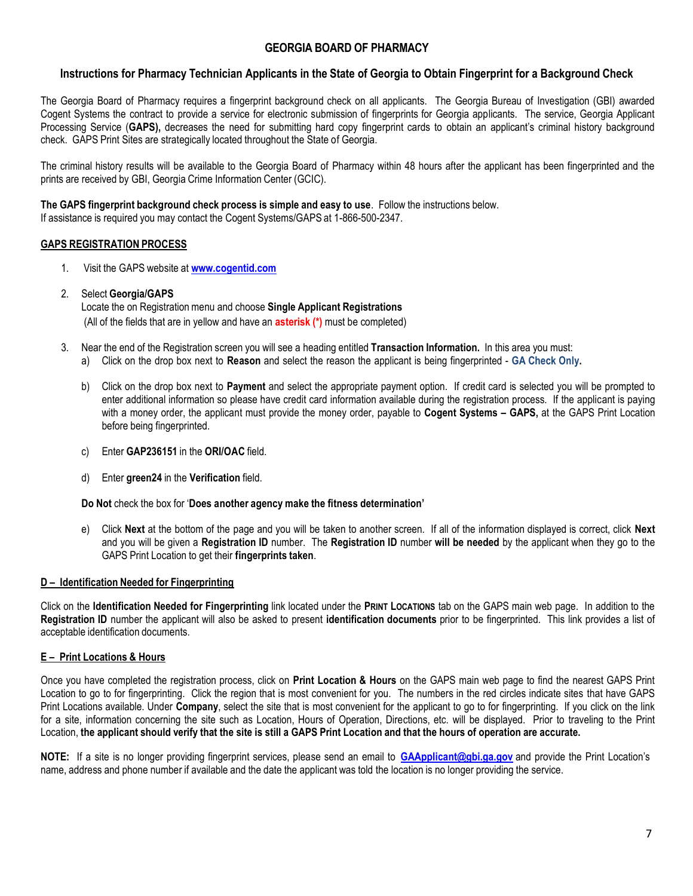### **GEORGIA BOARD OF PHARMACY**

### **Instructions for Pharmacy Technician Applicants in the State of Georgia to Obtain Fingerprint for a Background Check**

The Georgia Board of Pharmacy requires a fingerprint background check on all applicants. The Georgia Bureau of Investigation (GBI) awarded Cogent Systems the contract to provide a service for electronic submission of fingerprints for Georgia applicants. The service, Georgia Applicant Processing Service (**GAPS),** decreases the need for submitting hard copy fingerprint cards to obtain an applicant's criminal history background check. GAPS Print Sites are strategically located throughout the State of Georgia.

The criminal history results will be available to the Georgia Board of Pharmacy within 48 hours after the applicant has been fingerprinted and the prints are received by GBI, Georgia Crime Information Center (GCIC).

#### **The GAPS fingerprint background check process is simple and easy to use**. Follow the instructions below. If assistance is required you may contact the Cogent Systems/GAPS at 1-866-500-2347.

#### **GAPS REGISTRATION PROCESS**

1. Visit the GAPS website at **[www.cogentid.com](http://www.cogentid.com/)**

### 2. Select **Georgia/GAPS**

Locate the on Registration menu and choose **Single Applicant Registrations** (All of the fields that are in yellow and have an **asterisk (\*)** must be completed)

- 3. Near the end of the Registration screen you will see a heading entitled **Transaction Information.** In this area you must:
	- a) Click on the drop box next to **Reason** and select the reason the applicant is being fingerprinted **GA Check Only.**
	- b) Click on the drop box next to **Payment** and select the appropriate payment option. If credit card is selected you will be prompted to enter additional information so please have credit card information available during the registration process. If the applicant is paying with a money order, the applicant must provide the money order, payable to **Cogent Systems – GAPS,** at the GAPS Print Location before being fingerprinted.
	- c) Enter **GAP236151** in the **ORI/OAC** field.
	- d) Enter **green24** in the **Verification** field.

**Do Not** check the box for '**Does another agency make the fitness determination'**

e) Click **Next** at the bottom of the page and you will be taken to another screen. If all of the information displayed is correct, click **Next**  and you will be given a **Registration ID** number. The **Registration ID** number **will be needed** by the applicant when they go to the GAPS Print Location to get their **fingerprints taken**.

#### **D – Identification Needed for Fingerprinting**

Click on the **Identification Needed for Fingerprinting** link located under the **PRINT LOCATIONS** tab on the GAPS main web page. In addition to the **Registration ID** number the applicant will also be asked to present **identification documents** prior to be fingerprinted. This link provides a list of acceptable identification documents.

#### **E – Print Locations & Hours**

Once you have completed the registration process, click on **Print Location & Hours** on the GAPS main web page to find the nearest GAPS Print Location to go to for fingerprinting. Click the region that is most convenient for you. The numbers in the red circles indicate sites that have GAPS Print Locations available. Under **Company**, select the site that is most convenient for the applicant to go to for fingerprinting. If you click on the link for a site, information concerning the site such as Location, Hours of Operation, Directions, etc. will be displayed. Prior to traveling to the Print Location, the applicant should verify that the site is still a GAPS Print Location and that the hours of operation are accurate.

**NOTE:** If a site is no longer providing fingerprint services, please send an email to **[GAApplicant@gbi.ga.g](mailto:GAApplicant@gbi.ga)ov** and provide the Print Location's name, address and phone number if available and the date the applicant was told the location is no longer providing the service.